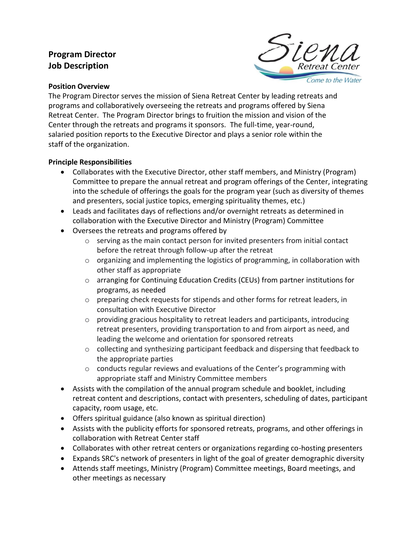# **Program Director Job Description**



#### **Position Overview**

The Program Director serves the mission of Siena Retreat Center by leading retreats and programs and collaboratively overseeing the retreats and programs offered by Siena Retreat Center. The Program Director brings to fruition the mission and vision of the Center through the retreats and programs it sponsors. The full-time, year-round, salaried position reports to the Executive Director and plays a senior role within the staff of the organization.

### **Principle Responsibilities**

- Collaborates with the Executive Director, other staff members, and Ministry (Program) Committee to prepare the annual retreat and program offerings of the Center, integrating into the schedule of offerings the goals for the program year (such as diversity of themes and presenters, social justice topics, emerging spirituality themes, etc.)
- Leads and facilitates days of reflections and/or overnight retreats as determined in collaboration with the Executive Director and Ministry (Program) Committee
- Oversees the retreats and programs offered by
	- o serving as the main contact person for invited presenters from initial contact before the retreat through follow-up after the retreat
	- $\circ$  organizing and implementing the logistics of programming, in collaboration with other staff as appropriate
	- o arranging for Continuing Education Credits (CEUs) from partner institutions for programs, as needed
	- o preparing check requests for stipends and other forms for retreat leaders, in consultation with Executive Director
	- o providing gracious hospitality to retreat leaders and participants, introducing retreat presenters, providing transportation to and from airport as need, and leading the welcome and orientation for sponsored retreats
	- $\circ$  collecting and synthesizing participant feedback and dispersing that feedback to the appropriate parties
	- $\circ$  conducts regular reviews and evaluations of the Center's programming with appropriate staff and Ministry Committee members
- Assists with the compilation of the annual program schedule and booklet, including retreat content and descriptions, contact with presenters, scheduling of dates, participant capacity, room usage, etc.
- Offers spiritual guidance (also known as spiritual direction)
- Assists with the publicity efforts for sponsored retreats, programs, and other offerings in collaboration with Retreat Center staff
- Collaborates with other retreat centers or organizations regarding co-hosting presenters
- Expands SRC's network of presenters in light of the goal of greater demographic diversity
- Attends staff meetings, Ministry (Program) Committee meetings, Board meetings, and other meetings as necessary